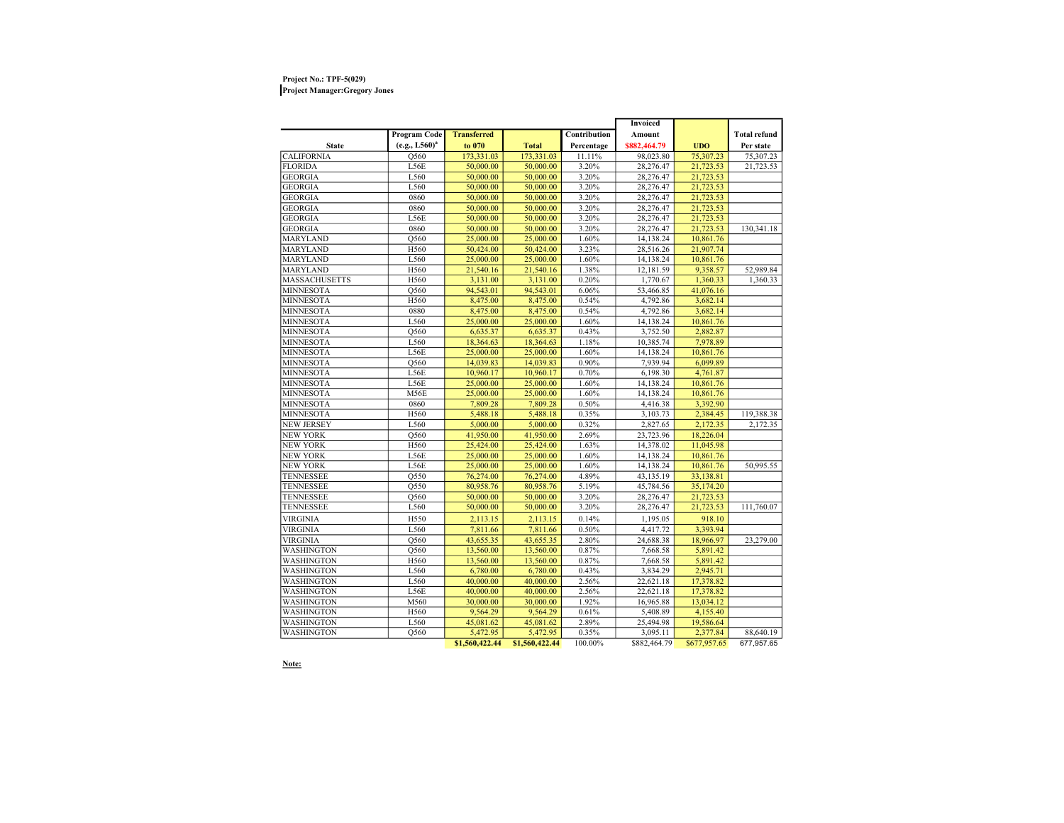## Project No.: TPF-5(029) Project Manager:Gregory Jones

|                      |                     |                    |                |              | Invoiced     |              |                     |
|----------------------|---------------------|--------------------|----------------|--------------|--------------|--------------|---------------------|
|                      | <b>Program Code</b> | <b>Transferred</b> |                | Contribution | Amount       |              | <b>Total refund</b> |
| <b>State</b>         | $(e.g., L560)^{a}$  | to 070             | <b>Total</b>   | Percentage   | \$882,464.79 | <b>UDO</b>   | Per state           |
| <b>CALIFORNIA</b>    | Q560                | 173,331.03         | 173,331.03     | 11.11%       | 98,023.80    | 75,307.23    | 75,307.23           |
| <b>FLORIDA</b>       | L56E                | 50,000.00          | 50,000.00      | 3.20%        | 28,276.47    | 21,723.53    | 21,723.53           |
| <b>GEORGIA</b>       | L560                | 50,000.00          | 50,000.00      | 3.20%        | 28,276.47    | 21,723.53    |                     |
| <b>GEORGIA</b>       | L560                | 50,000.00          | 50,000.00      | 3.20%        | 28,276.47    | 21,723.53    |                     |
| <b>GEORGIA</b>       | 0860                | 50,000.00          | 50,000.00      | 3.20%        | 28,276.47    | 21,723.53    |                     |
| <b>GEORGIA</b>       | 0860                | 50,000.00          | 50,000.00      | 3.20%        | 28,276.47    | 21,723.53    |                     |
| <b>GEORGIA</b>       | L56E                | 50,000.00          | 50,000.00      | 3.20%        | 28,276.47    | 21,723.53    |                     |
| <b>GEORGIA</b>       | 0860                | 50,000.00          | 50,000.00      | 3.20%        | 28,276.47    | 21,723.53    | 130,341.18          |
| <b>MARYLAND</b>      | Q560                | 25,000.00          | 25,000.00      | 1.60%        | 14,138.24    | 10,861.76    |                     |
| <b>MARYLAND</b>      | H560                | 50,424.00          | 50,424.00      | 3.23%        | 28,516.26    | 21,907.74    |                     |
| <b>MARYLAND</b>      | L560                | 25,000.00          | 25,000.00      | 1.60%        | 14,138.24    | 10,861.76    |                     |
| <b>MARYLAND</b>      | H560                | 21,540.16          | 21,540.16      | 1.38%        | 12,181.59    | 9,358.57     | 52,989.84           |
| <b>MASSACHUSETTS</b> | H560                | 3,131.00           | 3,131.00       | 0.20%        | 1,770.67     | 1,360.33     | 1,360.33            |
| <b>MINNESOTA</b>     | Q560                | 94,543.01          | 94,543.01      | 6.06%        | 53,466.85    | 41,076.16    |                     |
| <b>MINNESOTA</b>     | H560                | 8,475.00           | 8,475.00       | 0.54%        | 4,792.86     | 3,682.14     |                     |
| <b>MINNESOTA</b>     | 0880                | 8,475.00           | 8,475.00       | 0.54%        | 4,792.86     | 3.682.14     |                     |
| <b>MINNESOTA</b>     | L560                | 25,000.00          | 25,000.00      | 1.60%        | 14,138.24    | 10,861.76    |                     |
| <b>MINNESOTA</b>     | Q560                | 6,635.37           | 6,635.37       | 0.43%        | 3,752.50     | 2,882.87     |                     |
| <b>MINNESOTA</b>     | L560                | 18,364.63          | 18,364.63      | 1.18%        | 10,385.74    | 7,978.89     |                     |
| <b>MINNESOTA</b>     | L56E                | 25,000.00          | 25,000.00      | 1.60%        | 14.138.24    | 10,861.76    |                     |
| <b>MINNESOTA</b>     | Q560                | 14,039.83          | 14,039.83      | 0.90%        | 7,939.94     | 6,099.89     |                     |
| <b>MINNESOTA</b>     | L56E                | 10,960.17          | 10,960.17      | 0.70%        | 6,198.30     | 4,761.87     |                     |
| <b>MINNESOTA</b>     | L56E                | 25,000.00          | 25,000.00      | 1.60%        | 14,138.24    | 10,861.76    |                     |
| <b>MINNESOTA</b>     | M56E                | 25,000.00          | 25,000.00      | 1.60%        | 14,138.24    | 10,861.76    |                     |
| <b>MINNESOTA</b>     | 0860                | 7.809.28           | 7,809.28       | 0.50%        | 4,416.38     | 3.392.90     |                     |
| <b>MINNESOTA</b>     | H560                | 5,488.18           | 5,488.18       | 0.35%        | 3,103.73     | 2,384.45     | 119,388.38          |
| <b>NEW JERSEY</b>    | L560                | 5,000.00           | 5,000.00       | 0.32%        | 2,827.65     | 2,172.35     | 2,172.35            |
| <b>NEW YORK</b>      | Q560                | 41,950.00          | 41,950.00      | 2.69%        | 23,723.96    | 18,226.04    |                     |
| <b>NEW YORK</b>      | H560                | 25,424.00          | 25,424.00      | 1.63%        | 14,378.02    | 11,045.98    |                     |
| <b>NEW YORK</b>      | L56E                | 25,000.00          | 25,000.00      | 1.60%        | 14,138.24    | 10,861.76    |                     |
| <b>NEW YORK</b>      | L56E                | 25,000.00          | 25,000.00      | 1.60%        | 14,138.24    | 10,861.76    | 50,995.55           |
| <b>TENNESSEE</b>     | Q550                | 76,274.00          | 76,274.00      | 4.89%        | 43,135.19    | 33,138.81    |                     |
| <b>TENNESSEE</b>     | Q550                | 80,958.76          | 80,958.76      | 5.19%        | 45,784.56    | 35,174.20    |                     |
| TENNESSEE            | Q560                | 50,000.00          | 50,000.00      | 3.20%        | 28,276.47    | 21,723.53    |                     |
| TENNESSEE            | L560                | 50,000.00          | 50,000.00      | 3.20%        | 28,276.47    | 21,723.53    | 111,760.07          |
| <b>VIRGINIA</b>      | H550                | 2.113.15           | 2.113.15       | 0.14%        | 1,195.05     | 918.10       |                     |
| VIRGINIA             | L560                | 7,811.66           | 7,811.66       | 0.50%        | 4,417.72     | 3,393.94     |                     |
| VIRGINIA             | Q560                | 43,655.35          | 43,655.35      | 2.80%        | 24,688.38    | 18,966.97    | 23,279.00           |
| WASHINGTON           | Q560                | 13,560.00          | 13,560.00      | 0.87%        | 7,668.58     | 5,891.42     |                     |
| WASHINGTON           | H560                | 13,560.00          | 13,560.00      | 0.87%        | 7,668.58     | 5.891.42     |                     |
| WASHINGTON           | L560                | 6,780.00           | 6,780.00       | 0.43%        | 3,834.29     | 2,945.71     |                     |
| WASHINGTON           | L560                | 40,000.00          | 40,000.00      | 2.56%        | 22,621.18    | 17,378.82    |                     |
| WASHINGTON           | L56E                | 40,000.00          | 40,000.00      | 2.56%        | 22,621.18    | 17,378.82    |                     |
| WASHINGTON           | M560                | 30,000.00          | 30,000.00      | 1.92%        | 16,965.88    | 13,034.12    |                     |
| WASHINGTON           | H560                | 9,564.29           | 9,564.29       | 0.61%        | 5,408.89     | 4,155.40     |                     |
| WASHINGTON           | L560                | 45,081.62          | 45,081.62      | 2.89%        | 25,494.98    | 19,586.64    |                     |
| WASHINGTON           | Q560                | 5,472.95           | 5,472.95       | 0.35%        | 3,095.11     | 2,377.84     | 88,640.19           |
|                      |                     | \$1,560,422.44     | \$1,560,422.44 | 100.00%      | \$882,464.79 | \$677,957.65 | 677,957.65          |